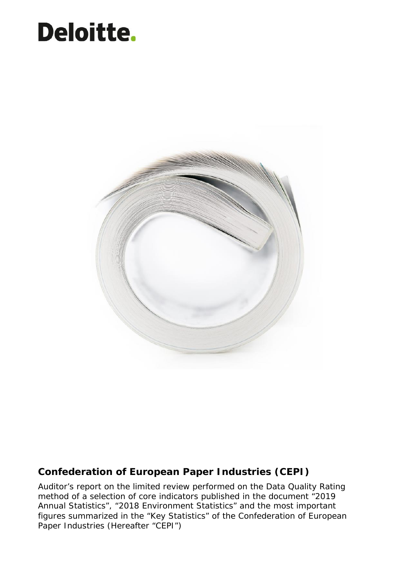# Error! No text of specified style in document. Document subtitle= Verdana Heading 12 0/0 single



# **Confederation of European Paper Industries (CEPI)**

Auditor's report on the limited review performed on the Data Quality Rating method of a selection of core indicators published in the document "2019 Annual Statistics", "2018 Environment Statistics" and the most important figures summarized in the "Key Statistics" of the Confederation of European Paper Industries (Hereafter "CEPI")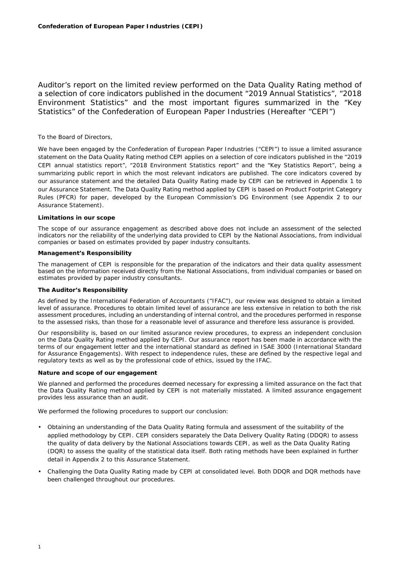Auditor's report on the limited review performed on the Data Quality Rating method of a selection of core indicators published in the document "2019 Annual Statistics", "2018 Environment Statistics" and the most important figures summarized in the "Key Statistics" of the Confederation of European Paper Industries (Hereafter "CEPI")

# To the Board of Directors,

We have been engaged by the Confederation of European Paper Industries ("CEPI") to issue a limited assurance statement on the Data Quality Rating method CEPI applies on a selection of core indicators published in the "2019 CEPI annual statistics report", "2018 Environment Statistics report" and the "Key Statistics Report", being a summarizing public report in which the most relevant indicators are published. The core indicators covered by our assurance statement and the detailed Data Quality Rating made by CEPI can be retrieved in Appendix 1 to our Assurance Statement. The Data Quality Rating method applied by CEPI is based on Product Footprint Category Rules (PFCR) for paper, developed by the European Commission's DG Environment (see Appendix 2 to our Assurance Statement).

## **Limitations in our scope**

The scope of our assurance engagement as described above does not include an assessment of the selected indicators nor the reliability of the underlying data provided to CEPI by the National Associations, from individual companies or based on estimates provided by paper industry consultants.

#### **Management's Responsibility**

The management of CEPI is responsible for the preparation of the indicators and their data quality assessment based on the information received directly from the National Associations, from individual companies or based on estimates provided by paper industry consultants.

### **The Auditor's Responsibility**

As defined by the International Federation of Accountants ("IFAC"), our review was designed to obtain a limited level of assurance. Procedures to obtain limited level of assurance are less extensive in relation to both the risk assessment procedures, including an understanding of internal control, and the procedures performed in response to the assessed risks, than those for a reasonable level of assurance and therefore less assurance is provided.

Our responsibility is, based on our limited assurance review procedures, to express an independent conclusion on the Data Quality Rating method applied by CEPI. Our assurance report has been made in accordance with the terms of our engagement letter and the international standard as defined in ISAE 3000 (International Standard for Assurance Engagements). With respect to independence rules, these are defined by the respective legal and regulatory texts as well as by the professional code of ethics, issued by the IFAC.

### **Nature and scope of our engagement**

We planned and performed the procedures deemed necessary for expressing a limited assurance on the fact that the Data Quality Rating method applied by CEPI is not materially misstated. A limited assurance engagement provides less assurance than an audit.

We performed the following procedures to support our conclusion:

- Obtaining an understanding of the Data Quality Rating formula and assessment of the suitability of the applied methodology by CEPI. CEPI considers separately the Data Delivery Quality Rating (DDQR) to assess the quality of data delivery by the National Associations towards CEPI, as well as the Data Quality Rating (DQR) to assess the quality of the statistical data itself. Both rating methods have been explained in further detail in Appendix 2 to this Assurance Statement.
- Challenging the Data Quality Rating made by CEPI at consolidated level. Both DDQR and DQR methods have been challenged throughout our procedures.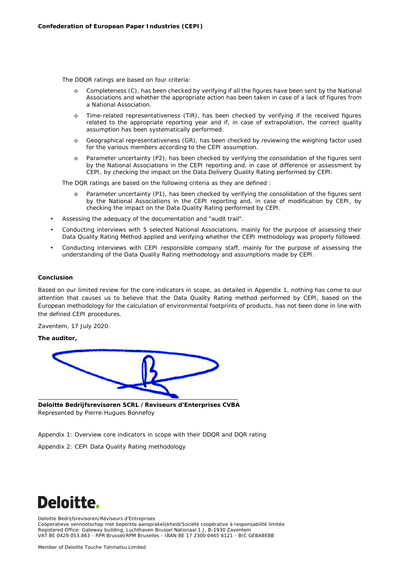The DDQR ratings are based on four criteria:

- o Completeness (C), has been checked by verifying if all the figures have been sent by the National Associations and whether the appropriate action has been taken in case of a lack of figures from a National Association.
- o Time-related representativeness (TiR), has been checked by verifying if the received figures related to the appropriate reporting year and if, in case of extrapolation, the correct quality assumption has been systematically performed.
- o Geographical representativeness (GR), has been checked by reviewing the weighing factor used for the various members according to the CEPI assumption.
- o Parameter uncertainty (P2), has been checked by verifying the consolidation of the figures sent by the National Associations in the CEPI reporting and, in case of difference or assessment by CEPI, by checking the impact on the Data Delivery Quality Rating performed by CEPI.

The DQR ratings are based on the following criteria as they are defined :

- o Parameter uncertainty (P1), has been checked by verifying the consolidation of the figures sent by the National Associations in the CEPI reporting and, in case of modification by CEPI, by checking the impact on the Data Quality Rating performed by CEPI.
- Assessing the adequacy of the documentation and "audit trail".
- Conducting interviews with 5 selected National Associations, mainly for the purpose of assessing their Data Quality Rating Method applied and verifying whether the CEPI methodology was properly followed.
- Conducting interviews with CEPI responsible company staff, mainly for the purpose of assessing the understanding of the Data Quality Rating methodology and assumptions made by CEPI.

### **Conclusion**

Based on our limited review for the core indicators in scope, as detailed in Appendix 1, nothing has come to our attention that causes us to believe that the Data Quality Rating method performed by CEPI, based on the European methodology for the calculation of environmental footprints of products, has not been done in line with the defined CEPI procedures.

Zaventem, 17 July 2020.

**The auditor,**



**Deloitte Bedrijfsrevisoren SCRL /Reviseurs d'Enterprises CVBA** Represented by Pierre-Hugues Bonnefoy

*Appendix 1: Overview core indicators in scope with their DDQR and DQR rating*

*Appendix 2: CEPI Data Quality Rating methodology*



Deloitte Bedrijfsrevisoren/Réviseurs d'Entreprises

Coöperatieve vennootschap met beperkte aansprakelijkheid/Société coopérative à responsabilité limitée Registered Office: Gateway building, Luchthaven Brussel Nationaal 1 J, B-1930 Zaventem VAT BE 0429.053.863 - RPR Brussel/RPM Bruxelles - IBAN BE 17 2300 0465 6121 - BIC GEBABEBB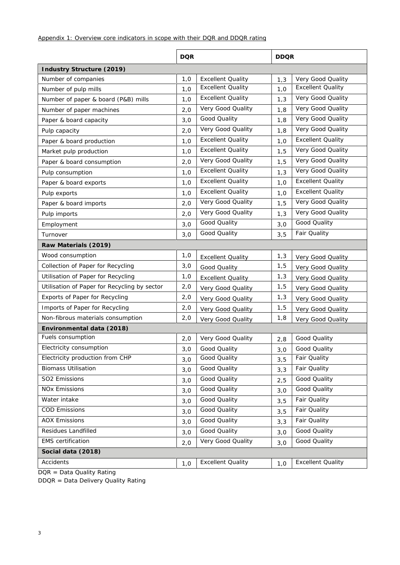|                                              | <b>DQR</b> |                          | <b>DDQR</b> |                          |
|----------------------------------------------|------------|--------------------------|-------------|--------------------------|
| Industry Structure (2019)                    |            |                          |             |                          |
| Number of companies                          | 1,0        | <b>Excellent Quality</b> | 1,3         | Very Good Quality        |
| Number of pulp mills                         | 1,0        | <b>Excellent Quality</b> | 1,0         | <b>Excellent Quality</b> |
| Number of paper & board (P&B) mills          | 1,0        | <b>Excellent Quality</b> | 1,3         | Very Good Quality        |
| Number of paper machines                     | 2,0        | Very Good Quality        | 1,8         | Very Good Quality        |
| Paper & board capacity                       | 3,0        | Good Quality             | 1,8         | Very Good Quality        |
| Pulp capacity                                | 2,0        | Very Good Quality        | 1,8         | Very Good Quality        |
| Paper & board production                     | 1,0        | <b>Excellent Quality</b> | 1,0         | <b>Excellent Quality</b> |
| Market pulp production                       | 1,0        | <b>Excellent Quality</b> | 1, 5        | Very Good Quality        |
| Paper & board consumption                    | 2,0        | Very Good Quality        | 1, 5        | Very Good Quality        |
| Pulp consumption                             | 1,0        | <b>Excellent Quality</b> | 1,3         | Very Good Quality        |
| Paper & board exports                        | 1,0        | <b>Excellent Quality</b> | 1,0         | <b>Excellent Quality</b> |
| Pulp exports                                 | 1,0        | <b>Excellent Quality</b> | 1,0         | <b>Excellent Quality</b> |
| Paper & board imports                        | 2,0        | Very Good Quality        | 1, 5        | Very Good Quality        |
| Pulp imports                                 | 2,0        | Very Good Quality        | 1,3         | Very Good Quality        |
| Employment                                   | 3,0        | Good Quality             | 3,0         | Good Quality             |
| Turnover                                     | 3,0        | Good Quality             | 3, 5        | Fair Quality             |
| Raw Materials (2019)                         |            |                          |             |                          |
| Wood consumption                             | 1,0        | <b>Excellent Quality</b> | 1,3         | Very Good Quality        |
| Collection of Paper for Recycling            | 3,0        | Good Quality             | 1,5         | Very Good Quality        |
| Utilisation of Paper for Recycling           | 1,0        | <b>Excellent Quality</b> | 1,3         | Very Good Quality        |
| Utilisation of Paper for Recycling by sector | 2,0        | Very Good Quality        | 1,5         | Very Good Quality        |
| Exports of Paper for Recycling               | 2,0        | Very Good Quality        | 1,3         | Very Good Quality        |
| Imports of Paper for Recycling               | 2,0        | Very Good Quality        | 1, 5        | Very Good Quality        |
| Non-fibrous materials consumption            | 2,0        | Very Good Quality        | 1,8         | Very Good Quality        |
| Environmental data (2018)                    |            |                          |             |                          |
| Fuels consumption                            | 2,0        | Very Good Quality        | 2,8         | Good Quality             |
| Electricity consumption                      | 3,0        | Good Quality             | 3,0         | Good Quality             |
| Electricity production from CHP              | 3,0        | Good Quality             | 3, 5        | Fair Quality             |
| <b>Biomass Utilisation</b>                   | 3,0        | Good Quality             | 3,3         | Fair Quality             |
| SO2 Emissions                                | 3,0        | Good Quality             | 2,5         | Good Quality             |
| <b>NOx Emissions</b>                         | 3,0        | Good Quality             | 3,0         | Good Quality             |
| Water intake                                 | 3,0        | Good Quality             | 3, 5        | Fair Quality             |
| <b>COD Emissions</b>                         | 3,0        | Good Quality             | 3, 5        | Fair Quality             |
| <b>AOX Emissions</b>                         | 3,0        | Good Quality             | 3,3         | Fair Quality             |
| Residues Landfilled                          | 3,0        | Good Quality             | 3,0         | Good Quality             |
| <b>EMS</b> certification                     | 2,0        | Very Good Quality        | 3,0         | Good Quality             |
| Social data (2018)                           |            |                          |             |                          |
| Accidents                                    | 1,0        | <b>Excellent Quality</b> | 1,0         | <b>Excellent Quality</b> |
|                                              |            |                          |             |                          |

DQR = Data Quality Rating

DDQR = Data Delivery Quality Rating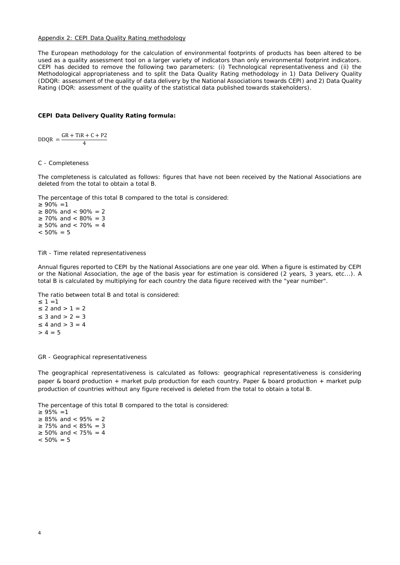#### Appendix 2: CEPI Data Quality Rating methodology

The European methodology for the calculation of environmental footprints of products has been altered to be used as a quality assessment tool on a larger variety of indicators than only environmental footprint indicators. CEPI has decided to remove the following two parameters: (i) Technological representativeness and (ii) the Methodological appropriateness and to split the Data Quality Rating methodology in 1) Data Delivery Quality (DDQR: assessment of the quality of data delivery by the National Associations towards CEPI) and 2) Data Quality Rating (DQR: assessment of the quality of the statistical data published towards stakeholders).

**CEPI Data Delivery Quality Rating formula:**

 $DDQR = \frac{GR + TIR + C + P2}{4}$ 4

#### *C - Completeness*

The completeness is calculated as follows: figures that have not been received by the National Associations are deleted from the total to obtain a total B.

The percentage of this total B compared to the total is considered:

 $90\% = 1$ 80% and  $<$  90% = 2  $70\%$  and  $< 80\% = 3$ 50% and  $< 70% = 4$  $< 50\% = 5$ 

*TiR - Time related representativeness*

Annual figures reported to CEPI by the National Associations are one year old. When a figure is estimated by CEPI or the National Association, the age of the basis year for estimation is considered (2 years, 3 years, etc...). A total B is calculated by multiplying for each country the data figure received with the "year number".

The ratio between total B and total is considered:

 $1 = 1$ 2 and  $> 1 = 2$ 3 and  $> 2 = 3$ 4 and  $> 3 = 4$  $> 4 = 5$ 

*GR - Geographical representativeness*

The geographical representativeness is calculated as follows: geographical representativeness is considering paper & board production + market pulp production for each country. Paper & board production + market pulp production of countries without any figure received is deleted from the total to obtain a total B.

The percentage of this total B compared to the total is considered:

```
95\% = 185% and < 95% = 2
75\% and \lt 85% = 3
50% and < 75% = 4< 50\% = 5
```